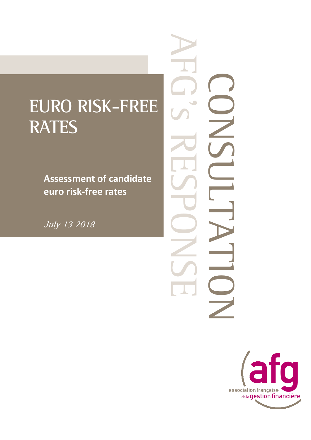## **EURO RISK-FREE RATES**

**Assessment of candidate euro risk-free rates**

July 13 2018

CONSULTATION **AFG** S RESERVE.  $\cup$  $\overline{\Box}$ 

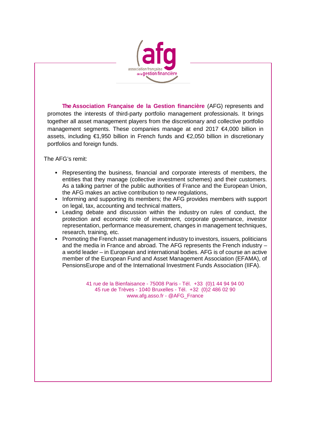

**The Association Française de la Gestion financière** (AFG) represents and promotes the interests of third-party portfolio management professionals. It brings together all asset management players from the discretionary and collective portfolio management segments. These companies manage at end 2017 €4,000 billion in assets, including €1,950 billion in French funds and €2,050 billion in discretionary portfolios and foreign funds.

The AFG's remit:

- Representing the business, financial and corporate interests of members, the entities that they manage (collective investment schemes) and their customers. As a talking partner of the public authorities of France and the European Union, the AFG makes an active contribution to new regulations,
- **Informing and supporting its members; the AFG provides members with support** on legal, tax, accounting and technical matters,
- Leading debate and discussion within the industry on rules of conduct, the protection and economic role of investment, corporate governance, investor representation, performance measurement, changes in management techniques, research, training, etc.
- Promoting the French asset management industry to investors, issuers, politicians and the media in France and abroad. The AFG represents the French industry – a world leader – in European and international bodies. AFG is of course an active member of the European Fund and Asset Management Association (EFAMA), of PensionsEurope and of the International Investment Funds Association (IIFA).

41 rue de la Bienfaisance - 75008 Paris - Tél. +33 (0)1 44 94 94 00 45 rue de Trèves - 1040 Bruxelles - Tél. +32 (0)2 486 02 90 [www.afg.asso.fr](http://www.afg.asso.fr/) - @AFG\_France